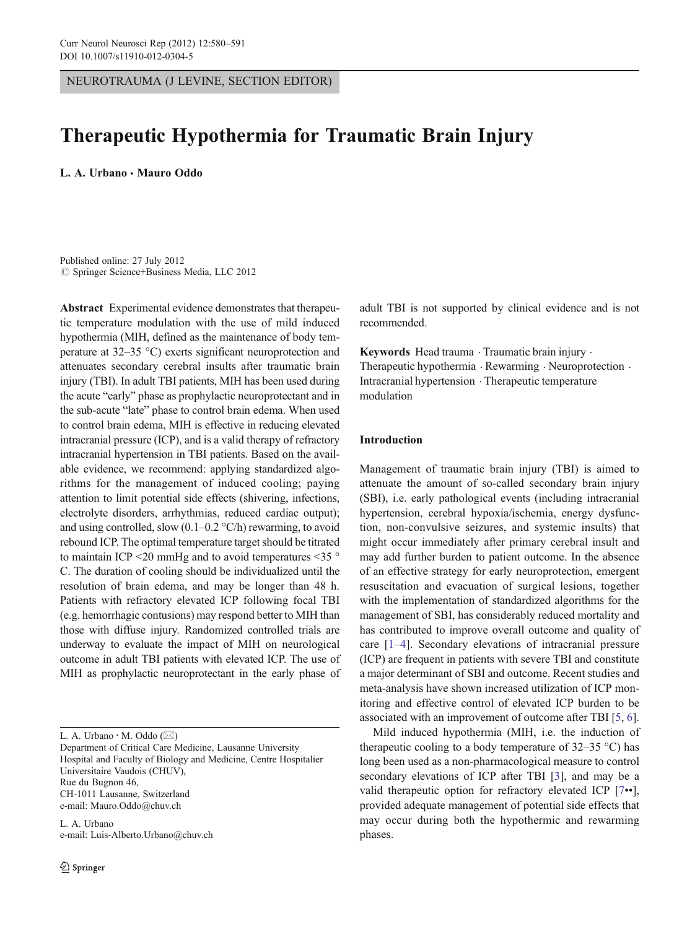NEUROTRAUMA (J LEVINE, SECTION EDITOR)

# Therapeutic Hypothermia for Traumatic Brain Injury

L. A. Urbano · Mauro Oddo

Published online: 27 July 2012  $\oslash$  Springer Science+Business Media, LLC 2012

Abstract Experimental evidence demonstrates that therapeutic temperature modulation with the use of mild induced hypothermia (MIH, defined as the maintenance of body temperature at 32–35 °C) exerts significant neuroprotection and attenuates secondary cerebral insults after traumatic brain injury (TBI). In adult TBI patients, MIH has been used during the acute "early" phase as prophylactic neuroprotectant and in the sub-acute "late" phase to control brain edema. When used to control brain edema, MIH is effective in reducing elevated intracranial pressure (ICP), and is a valid therapy of refractory intracranial hypertension in TBI patients. Based on the available evidence, we recommend: applying standardized algorithms for the management of induced cooling; paying attention to limit potential side effects (shivering, infections, electrolyte disorders, arrhythmias, reduced cardiac output); and using controlled, slow  $(0.1-0.2 \degree C/h)$  rewarming, to avoid rebound ICP. The optimal temperature target should be titrated to maintain ICP <20 mmHg and to avoid temperatures <35 ° C. The duration of cooling should be individualized until the resolution of brain edema, and may be longer than 48 h. Patients with refractory elevated ICP following focal TBI (e.g. hemorrhagic contusions) may respond better to MIH than those with diffuse injury. Randomized controlled trials are underway to evaluate the impact of MIH on neurological outcome in adult TBI patients with elevated ICP. The use of MIH as prophylactic neuroprotectant in the early phase of

Department of Critical Care Medicine, Lausanne University Hospital and Faculty of Biology and Medicine, Centre Hospitalier Universitaire Vaudois (CHUV), Rue du Bugnon 46, CH-1011 Lausanne, Switzerland e-mail: Mauro.Oddo@chuv.ch

L. A. Urbano e-mail: Luis-Alberto.Urbano@chuv.ch

 $\textcircled{2}$  Springer

adult TBI is not supported by clinical evidence and is not recommended.

Keywords Head trauma . Traumatic brain injury . Therapeutic hypothermia . Rewarming . Neuroprotection . Intracranial hypertension . Therapeutic temperature modulation

## Introduction

Management of traumatic brain injury (TBI) is aimed to attenuate the amount of so-called secondary brain injury (SBI), i.e. early pathological events (including intracranial hypertension, cerebral hypoxia/ischemia, energy dysfunction, non-convulsive seizures, and systemic insults) that might occur immediately after primary cerebral insult and may add further burden to patient outcome. In the absence of an effective strategy for early neuroprotection, emergent resuscitation and evacuation of surgical lesions, together with the implementation of standardized algorithms for the management of SBI, has considerably reduced mortality and has contributed to improve overall outcome and quality of care [[1](#page-8-0)–[4\]](#page-8-0). Secondary elevations of intracranial pressure (ICP) are frequent in patients with severe TBI and constitute a major determinant of SBI and outcome. Recent studies and meta-analysis have shown increased utilization of ICP monitoring and effective control of elevated ICP burden to be associated with an improvement of outcome after TBI [[5,](#page-8-0) [6\]](#page-8-0).

Mild induced hypothermia (MIH, i.e. the induction of therapeutic cooling to a body temperature of  $32-35$  °C) has long been used as a non-pharmacological measure to control secondary elevations of ICP after TBI [[3\]](#page-8-0), and may be a valid therapeutic option for refractory elevated ICP [[7](#page-8-0)••], provided adequate management of potential side effects that may occur during both the hypothermic and rewarming phases.

L. A. Urbano  $\cdot$  M. Oddo ( $\boxtimes$ )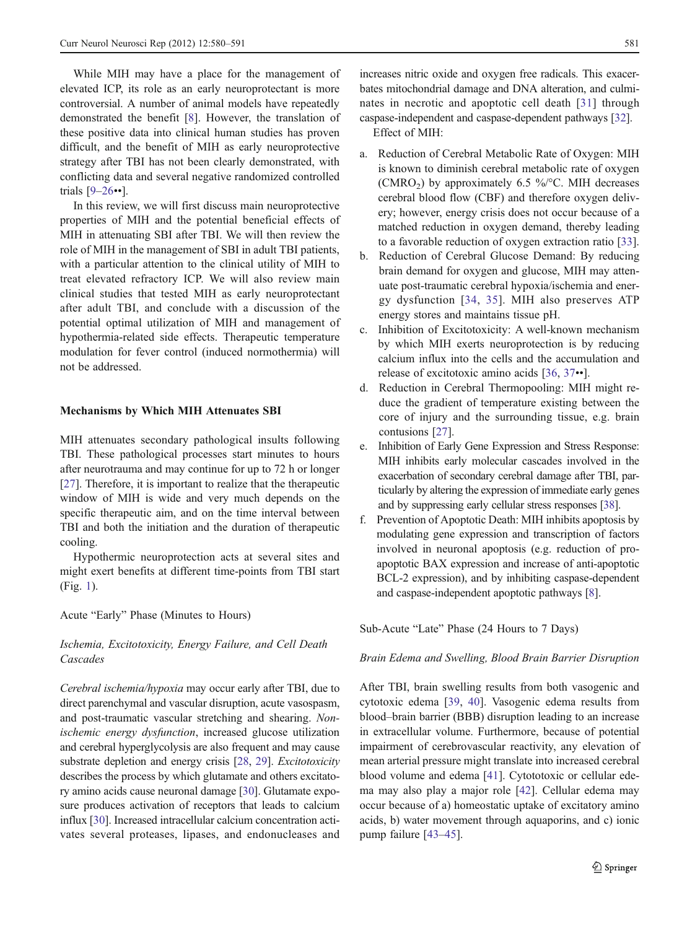While MIH may have a place for the management of elevated ICP, its role as an early neuroprotectant is more controversial. A number of animal models have repeatedly demonstrated the benefit [\[8](#page-8-0)]. However, the translation of these positive data into clinical human studies has proven difficult, and the benefit of MIH as early neuroprotective strategy after TBI has not been clearly demonstrated, with conflicting data and several negative randomized controlled trials [[9](#page-8-0)–[26](#page-9-0)••].

In this review, we will first discuss main neuroprotective properties of MIH and the potential beneficial effects of MIH in attenuating SBI after TBI. We will then review the role of MIH in the management of SBI in adult TBI patients, with a particular attention to the clinical utility of MIH to treat elevated refractory ICP. We will also review main clinical studies that tested MIH as early neuroprotectant after adult TBI, and conclude with a discussion of the potential optimal utilization of MIH and management of hypothermia-related side effects. Therapeutic temperature modulation for fever control (induced normothermia) will not be addressed.

#### Mechanisms by Which MIH Attenuates SBI

MIH attenuates secondary pathological insults following TBI. These pathological processes start minutes to hours after neurotrauma and may continue for up to 72 h or longer [\[27](#page-9-0)]. Therefore, it is important to realize that the therapeutic window of MIH is wide and very much depends on the specific therapeutic aim, and on the time interval between TBI and both the initiation and the duration of therapeutic cooling.

Hypothermic neuroprotection acts at several sites and might exert benefits at different time-points from TBI start (Fig. [1\)](#page-2-0).

Acute "Early" Phase (Minutes to Hours)

Ischemia, Excitotoxicity, Energy Failure, and Cell Death **Cascades** 

Cerebral ischemia/hypoxia may occur early after TBI, due to direct parenchymal and vascular disruption, acute vasospasm, and post-traumatic vascular stretching and shearing. Nonischemic energy dysfunction, increased glucose utilization and cerebral hyperglycolysis are also frequent and may cause substrate depletion and energy crisis [\[28,](#page-9-0) [29](#page-9-0)]. Excitotoxicity describes the process by which glutamate and others excitatory amino acids cause neuronal damage [[30](#page-9-0)]. Glutamate exposure produces activation of receptors that leads to calcium influx [\[30](#page-9-0)]. Increased intracellular calcium concentration activates several proteases, lipases, and endonucleases and increases nitric oxide and oxygen free radicals. This exacerbates mitochondrial damage and DNA alteration, and culminates in necrotic and apoptotic cell death [[31](#page-9-0)] through caspase-independent and caspase-dependent pathways [\[32\]](#page-9-0).

Effect of MIH:

- a. Reduction of Cerebral Metabolic Rate of Oxygen: MIH is known to diminish cerebral metabolic rate of oxygen (CMRO<sub>2</sub>) by approximately 6.5 %/ $\degree$ C. MIH decreases cerebral blood flow (CBF) and therefore oxygen delivery; however, energy crisis does not occur because of a matched reduction in oxygen demand, thereby leading to a favorable reduction of oxygen extraction ratio [[33\]](#page-9-0).
- b. Reduction of Cerebral Glucose Demand: By reducing brain demand for oxygen and glucose, MIH may attenuate post-traumatic cerebral hypoxia/ischemia and energy dysfunction [[34](#page-9-0), [35](#page-9-0)]. MIH also preserves ATP energy stores and maintains tissue pH.
- c. Inhibition of Excitotoxicity: A well-known mechanism by which MIH exerts neuroprotection is by reducing calcium influx into the cells and the accumulation and release of excitotoxic amino acids [\[36](#page-9-0), [37](#page-9-0)••].
- d. Reduction in Cerebral Thermopooling: MIH might reduce the gradient of temperature existing between the core of injury and the surrounding tissue, e.g. brain contusions [\[27](#page-9-0)].
- e. Inhibition of Early Gene Expression and Stress Response: MIH inhibits early molecular cascades involved in the exacerbation of secondary cerebral damage after TBI, particularly by altering the expression of immediate early genes and by suppressing early cellular stress responses [[38](#page-9-0)].
- f. Prevention of Apoptotic Death: MIH inhibits apoptosis by modulating gene expression and transcription of factors involved in neuronal apoptosis (e.g. reduction of proapoptotic BAX expression and increase of anti-apoptotic BCL-2 expression), and by inhibiting caspase-dependent and caspase-independent apoptotic pathways [\[8\]](#page-8-0).

Sub-Acute "Late" Phase (24 Hours to 7 Days)

Brain Edema and Swelling, Blood Brain Barrier Disruption

After TBI, brain swelling results from both vasogenic and cytotoxic edema [\[39](#page-9-0), [40](#page-9-0)]. Vasogenic edema results from blood–brain barrier (BBB) disruption leading to an increase in extracellular volume. Furthermore, because of potential impairment of cerebrovascular reactivity, any elevation of mean arterial pressure might translate into increased cerebral blood volume and edema [[41\]](#page-9-0). Cytototoxic or cellular edema may also play a major role [\[42](#page-9-0)]. Cellular edema may occur because of a) homeostatic uptake of excitatory amino acids, b) water movement through aquaporins, and c) ionic pump failure [[43](#page-9-0)–[45\]](#page-9-0).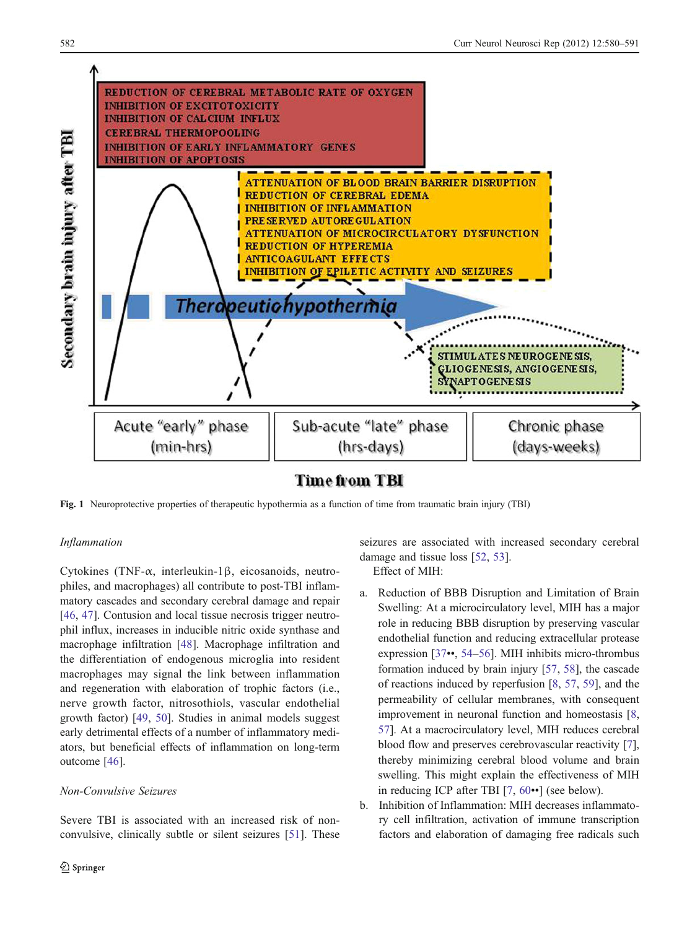<span id="page-2-0"></span>

Fig. 1 Neuroprotective properties of therapeutic hypothermia as a function of time from traumatic brain injury (TBI)

# Inflammation

Cytokines (TNF-α, interleukin-1β, eicosanoids, neutrophiles, and macrophages) all contribute to post-TBI inflammatory cascades and secondary cerebral damage and repair [\[46](#page-9-0), [47\]](#page-9-0). Contusion and local tissue necrosis trigger neutrophil influx, increases in inducible nitric oxide synthase and macrophage infiltration [[48\]](#page-9-0). Macrophage infiltration and the differentiation of endogenous microglia into resident macrophages may signal the link between inflammation and regeneration with elaboration of trophic factors (i.e., nerve growth factor, nitrosothiols, vascular endothelial growth factor) [\[49](#page-9-0), [50](#page-9-0)]. Studies in animal models suggest early detrimental effects of a number of inflammatory mediators, but beneficial effects of inflammation on long-term outcome [\[46](#page-9-0)].

# Non-Convulsive Seizures

Severe TBI is associated with an increased risk of nonconvulsive, clinically subtle or silent seizures [[51\]](#page-9-0). These seizures are associated with increased secondary cerebral damage and tissue loss [\[52](#page-9-0), [53\]](#page-9-0).

# Effect of MIH:

- a. Reduction of BBB Disruption and Limitation of Brain Swelling: At a microcirculatory level, MIH has a major role in reducing BBB disruption by preserving vascular endothelial function and reducing extracellular protease expression [\[37](#page-9-0)••, [54](#page-9-0)–[56](#page-9-0)]. MIH inhibits micro-thrombus formation induced by brain injury [\[57](#page-10-0), [58\]](#page-10-0), the cascade of reactions induced by reperfusion [\[8](#page-8-0), [57,](#page-10-0) [59](#page-10-0)], and the permeability of cellular membranes, with consequent improvement in neuronal function and homeostasis [[8,](#page-8-0) [57\]](#page-10-0). At a macrocirculatory level, MIH reduces cerebral blood flow and preserves cerebrovascular reactivity [[7\]](#page-8-0), thereby minimizing cerebral blood volume and brain swelling. This might explain the effectiveness of MIH in reducing ICP after TBI [\[7](#page-8-0), [60](#page-10-0)••] (see below).
- b. Inhibition of Inflammation: MIH decreases inflammatory cell infiltration, activation of immune transcription factors and elaboration of damaging free radicals such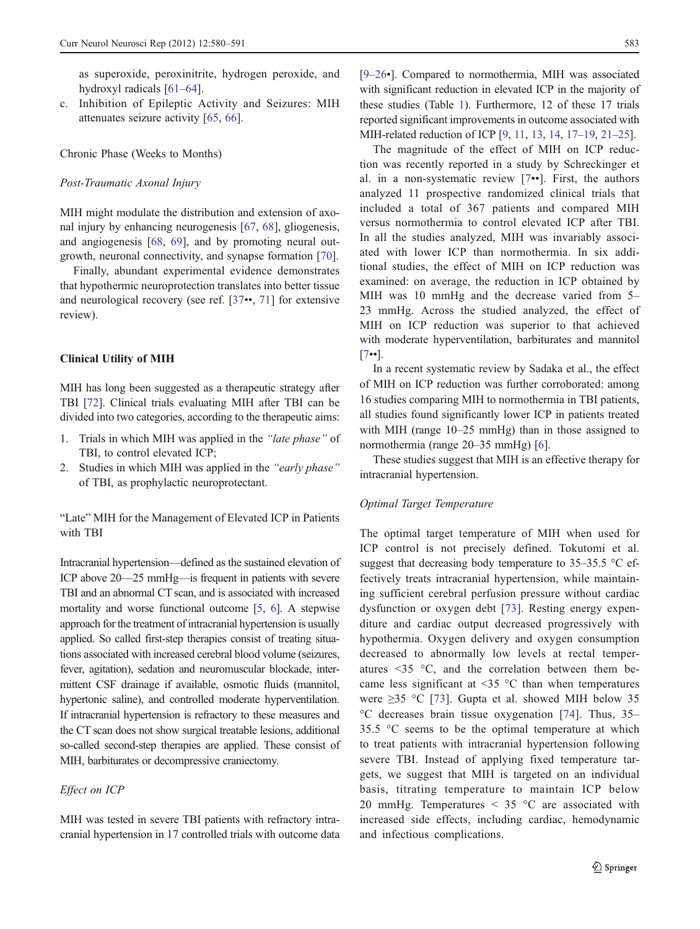as superoxide, peroxinitrite, hydrogen peroxide, and hydroxyl radicals [[61](#page-10-0)–[64\]](#page-10-0).

c. Inhibition of Epileptic Activity and Seizures: MIH attenuates seizure activity [\[65](#page-10-0), [66\]](#page-10-0).

Chronic Phase (Weeks to Months)

#### Post-Traumatic Axonal Injury

MIH might modulate the distribution and extension of axonal injury by enhancing neurogenesis [[67,](#page-10-0) [68](#page-10-0)], gliogenesis, and angiogenesis [[68,](#page-10-0) [69](#page-10-0)], and by promoting neural outgrowth, neuronal connectivity, and synapse formation [[70\]](#page-10-0).

Finally, abundant experimental evidence demonstrates that hypothermic neuroprotection translates into better tissue and neurological recovery (see ref. [[37](#page-9-0)••, [71\]](#page-10-0) for extensive review).

#### Clinical Utility of MIH

MIH has long been suggested as a therapeutic strategy after TBI [\[72](#page-10-0)]. Clinical trials evaluating MIH after TBI can be divided into two categories, according to the therapeutic aims:

- 1. Trials in which MIH was applied in the "late phase" of TBI, to control elevated ICP;
- 2. Studies in which MIH was applied in the "early phase" of TBI, as prophylactic neuroprotectant.

"Late" MIH for the Management of Elevated ICP in Patients with TBI

Intracranial hypertension—defined as the sustained elevation of ICP above 20—25 mmHg—is frequent in patients with severe TBI and an abnormal CT scan, and is associated with increased mortality and worse functional outcome [[5,](#page-8-0) [6](#page-8-0)]. A stepwise approach for the treatment of intracranial hypertension is usually applied. So called first-step therapies consist of treating situations associated with increased cerebral blood volume (seizures, fever, agitation), sedation and neuromuscular blockade, intermittent CSF drainage if available, osmotic fluids (mannitol, hypertonic saline), and controlled moderate hyperventilation. If intracranial hypertension is refractory to these measures and the CT scan does not show surgical treatable lesions, additional so-called second-step therapies are applied. These consist of MIH, barbiturates or decompressive craniectomy.

# Effect on ICP

MIH was tested in severe TBI patients with refractory intracranial hypertension in 17 controlled trials with outcome data [\[9](#page-8-0)–[26](#page-9-0)•]. Compared to normothermia, MIH was associated with significant reduction in elevated ICP in the majority of these studies (Table [1](#page-4-0)). Furthermore, 12 of these 17 trials reported significant improvements in outcome associated with MIH-related reduction of ICP [[9,](#page-8-0) [11](#page-8-0), [13,](#page-8-0) [14,](#page-8-0) [17](#page-8-0)–[19](#page-9-0), [21](#page-9-0)–[25\]](#page-9-0).

The magnitude of the effect of MIH on ICP reduction was recently reported in a study by Schreckinger et al. in a non-systematic review [[7](#page-8-0)••]. First, the authors analyzed 11 prospective randomized clinical trials that included a total of 367 patients and compared MIH versus normothermia to control elevated ICP after TBI. In all the studies analyzed, MIH was invariably associated with lower ICP than normothermia. In six additional studies, the effect of MIH on ICP reduction was examined: on average, the reduction in ICP obtained by MIH was 10 mmHg and the decrease varied from 5– 23 mmHg. Across the studied analyzed, the effect of MIH on ICP reduction was superior to that achieved with moderate hyperventilation, barbiturates and mannitol [\[7](#page-8-0)••].

In a recent systematic review by Sadaka et al., the effect of MIH on ICP reduction was further corroborated: among 16 studies comparing MIH to normothermia in TBI patients, all studies found significantly lower ICP in patients treated with MIH (range  $10-25$  mmHg) than in those assigned to normothermia (range 20–35 mmHg) [\[6](#page-8-0)].

These studies suggest that MIH is an effective therapy for intracranial hypertension.

#### Optimal Target Temperature

The optimal target temperature of MIH when used for ICP control is not precisely defined. Tokutomi et al. suggest that decreasing body temperature to 35–35.5 °C effectively treats intracranial hypertension, while maintaining sufficient cerebral perfusion pressure without cardiac dysfunction or oxygen debt [[73\]](#page-10-0). Resting energy expenditure and cardiac output decreased progressively with hypothermia. Oxygen delivery and oxygen consumption decreased to abnormally low levels at rectal temperatures <35 °C, and the correlation between them became less significant at  $\leq$ 35 °C than when temperatures were ≥35 °C [\[73](#page-10-0)]. Gupta et al. showed MIH below 35 °C decreases brain tissue oxygenation [[74\]](#page-10-0). Thus, 35– 35.5 °C seems to be the optimal temperature at which to treat patients with intracranial hypertension following severe TBI. Instead of applying fixed temperature targets, we suggest that MIH is targeted on an individual basis, titrating temperature to maintain ICP below 20 mmHg. Temperatures  $\leq$  35 °C are associated with increased side effects, including cardiac, hemodynamic and infectious complications.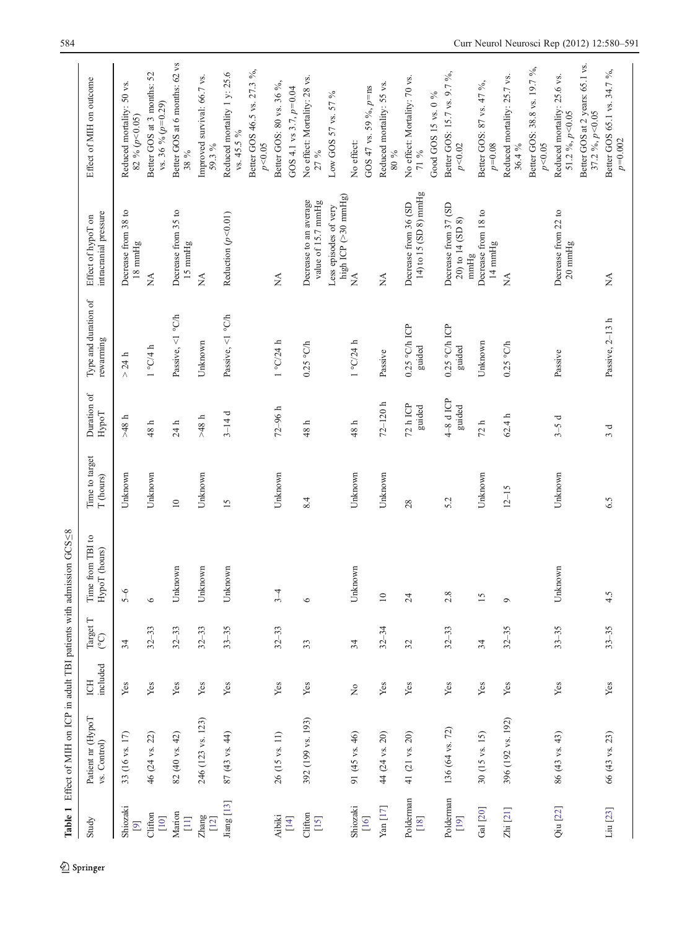<span id="page-4-0"></span>

|                                        | Table 1 Effect of MIH on ICP in adult TBI patients with admission GCS58 |                                |                             |                                   |                                       |                      |                                   |                                                           |                                                     |
|----------------------------------------|-------------------------------------------------------------------------|--------------------------------|-----------------------------|-----------------------------------|---------------------------------------|----------------------|-----------------------------------|-----------------------------------------------------------|-----------------------------------------------------|
| Study                                  | Patient nr (HypoT<br>vs. Control)                                       | included<br>ECH                | Target T<br>$\widetilde{C}$ | Time from TBI to<br>HypoT (hours) | Time to target<br>$\mathbf T$ (hours) | Duration of<br>HypoT | Type and duration of<br>rewarming | intracranial pressure<br>Effect of hypoT on               | Effect of MIH on outcome                            |
| Shiozaki<br>$[9]$                      | 33 (16 vs. 17)                                                          | ${\bf Yes}$                    | 34                          | $5 - 6$                           | Unknown                               | $\textrm{48}$ h      | $>$ 24 h                          | Decrease from 38 to<br>18 mmHg                            | Reduced mortality: 50 vs.<br>82 % ( $p$ < 0.05)     |
| Clifton<br>$[10]$                      | 46 (24 vs. 22)                                                          | Yes                            | $32 - 33$                   | $\circ$                           | Unknown                               | $48~\rm{h}$          | $1$ °C/4 $\hbar$                  | $\stackrel{\triangle}{\simeq}$                            | Better GOS at 3 months: 52<br>vs. 36 % $(p=0.29)$   |
| Marion<br>$[11]$                       | 82 (40 vs. 42)                                                          | Yes                            | $32 - 33$                   | Unknown                           | $\overline{10}$                       | 24 h                 | Passive, <1 $^{\circ}$ C/h        | Decrease from 35 to<br>$15 \text{ mmHg}$                  | Better GOS at 6 months: 62 vs<br>38 %               |
| $Z$ hang<br>$[12]$                     | 246 (123 vs. 123)                                                       | ${\rm Yes}$                    | $32 - 33$                   | Unknown                           | Unknown                               | $48~\rm{h}$          | Unknown                           | $\mathbb{X}^{\mathsf{A}}$                                 | Improved survival: 66.7 vs.<br>59.3%                |
| Jiang [13]                             | 87 (43 vs. 44)                                                          | Yes                            | $33 - 35$                   | Unknown                           | 15                                    | $3-14d$              | Passive, <1 °C/h                  | Reduction $(p<0.01)$                                      | Reduced mortality 1 y: 25.6<br>vs. 45.5 %           |
|                                        |                                                                         |                                |                             |                                   |                                       |                      |                                   |                                                           | Better GOS 46.5 vs. 27.3 %,<br>$p<\!\!0.05$         |
| Aibiki                                 | 26 (15 vs. 11)                                                          | Yes                            | $32 - 33$                   | $3-4$                             | Unknown                               | $72 - 96 h$          | 1°C/24 h                          | $\mathbb{X}^{\mathsf{A}}$                                 | Better GOS: 80 vs. 36 %,                            |
|                                        |                                                                         |                                |                             |                                   |                                       |                      |                                   |                                                           | GOS 4.1 vs 3.7, $p=0.04$                            |
| Clifton<br>$[15]$                      | 392 (199 vs. 193)                                                       | Yes                            | 33                          | $\circ$                           | 8.4                                   | $48~h$               | $0.25$ °C/h                       | Decrease to an average<br>value of 15.7 mmHg              | No effect: Mortality: 28 vs.<br>27 %                |
|                                        |                                                                         |                                |                             |                                   |                                       |                      |                                   | high ICP (>30 mmHg)<br>Less episodes of very              | Low GOS 57 vs. 57 %                                 |
| Shiozaki                               | 91 (45 vs. 46)                                                          | $\stackrel{\circ}{\mathsf{Z}}$ | 34                          | Unknown                           | Unknown                               | $48~\rm{h}$          | $1^{\circ}$ C/24 h                | Á                                                         | No effect:                                          |
| $[16]$                                 |                                                                         |                                |                             |                                   |                                       |                      |                                   |                                                           | GOS 47 vs. 59 %, $p$ =ns                            |
| $\operatorname{Yan} \left[ 17 \right]$ | 44 (24 vs. 20)                                                          | Yes                            | $32 - 34$                   | $10$                              | Unknown                               | $72 - 120$ h         | Passive                           | $\mathbb{A}$                                              | Reduced mortality: 55 vs.<br>$90\,$ $08\,$          |
| Polderman<br>$[18]$                    | 41 (21 vs. 20)                                                          | Yes                            | 32                          | 24                                | 28                                    | 72 h ICP<br>guided   | $0.25$ °C/h ICP<br>guided         | 14) to 15 (SD 8) mmHg<br>Decrease from 36 (SD             | No effect: Mortality: 70 vs.<br>$71~\%$             |
|                                        |                                                                         |                                |                             |                                   |                                       |                      |                                   |                                                           | Good GOS 15 vs. 0 %                                 |
| Polderman<br>$[19]$                    | 136 (64 vs. 72)                                                         | Yes                            | $32 - 33$                   | 2.8                               | 5.2                                   | $4-8d$ ICP<br>guided | $0.25$ °C/h ICP<br>guided         | Decrease from 37 (SD<br>20) to 14 (SD 8)<br>$\text{mmHg}$ | Better GOS: 15.7 vs. 9.7 %,<br>$p<\!\!0.02$         |
| Gal $\left[ 20\right]$                 | 30 (15 vs. 15)                                                          | Yes                            | 34                          | 15                                | Unknown                               | $72~\rm{h}$          | Unknown                           | Decrease from 18 to<br>$14 \text{ mmHg}$                  | Better GOS: 87 vs. 47 %,<br>$p=0.08$                |
| Zhi $[21]$                             | 396 (192 vs. 192)                                                       | Yes                            | $32 - 35$                   | $\circ$                           | $12 - 15$                             | 62.4h                | $0.25$ °C/h                       | $\mathbb{A}^{\mathsf{A}}$                                 | Reduced mortality: 25.7 vs.<br>36.4 %               |
|                                        |                                                                         |                                |                             |                                   |                                       |                      |                                   |                                                           | Better GOS: 38.8 vs. 19.7 %,<br>$p<\!\!0.05$        |
| Qiu [22]                               | 86 (43 vs. 43)                                                          | Yes                            | $33 - 35$                   | Unknown                           | Unknown                               | $3-5d$               | Passive                           | Decrease from 22 to<br>20 mmHg                            | Reduced mortality: 25.6 vs.<br>51.2 %, $p<0.05$     |
|                                        |                                                                         |                                |                             |                                   |                                       |                      |                                   |                                                           | Better GOS at 2 years: 65.1 vs.<br>37.2 %, $p<0.05$ |
| Liu [23]                               | 66 (43 vs. 23)                                                          | Yes                            | $33 - 35$                   | 4.5                               | 6.5                                   | ರ                    | Passive, 2-13 h                   | $\stackrel{\triangle}{\approx}$                           | Better GOS 65.1 vs. 34.7 %,<br>$p\!=\!0.002$        |

 $\underline{\textcircled{\tiny 2}}$  Springer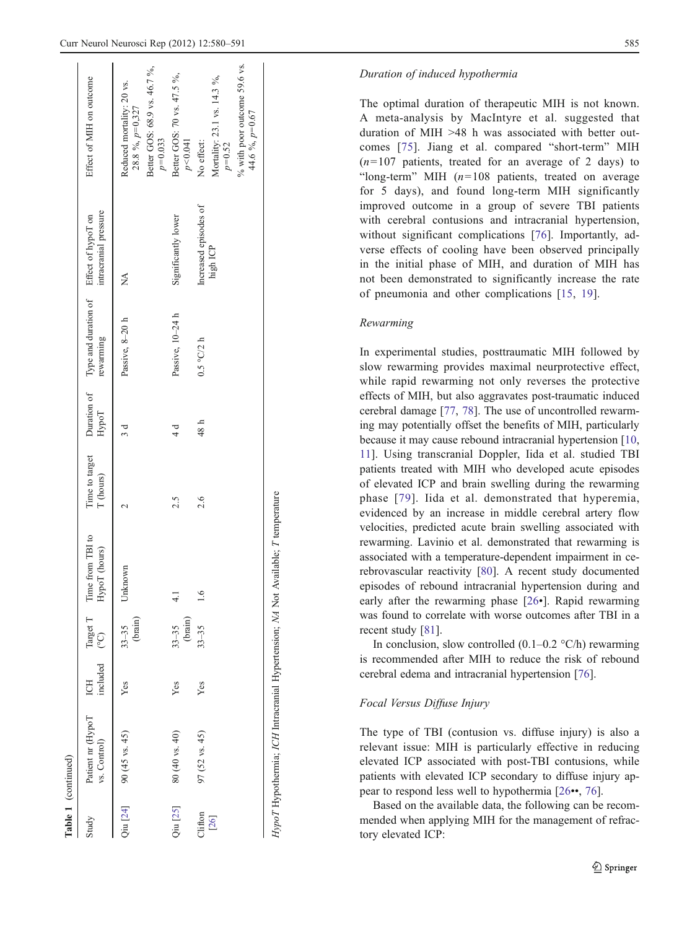| Table 1 (continued) |                                   |               |                      |                                                 |                             |               |                                                                  |                                   |                                                                                                         |
|---------------------|-----------------------------------|---------------|----------------------|-------------------------------------------------|-----------------------------|---------------|------------------------------------------------------------------|-----------------------------------|---------------------------------------------------------------------------------------------------------|
| Study               | Patient nr (HypoT<br>vs. Control) | included<br>E |                      | Target T Time from TBI to<br>(°C) HypoT (hours) | Time to target<br>T (hours) | HypoT         | Duration of Type and duration of Effect of hypoT on<br>rewarming | intracranial pressure             | Effect of MIH on outcome                                                                                |
|                     | $Q$ iu [24] 90 (45 vs. 45)        | Yes           | (brain)<br>$33 - 35$ | Unknown                                         |                             | ರ             | Passive, $8-20$ h                                                | Ź                                 | Better GOS: 68.9 vs. 46.7 %,<br>Reduced mortality: 20 vs.<br>28.8 %, $p=0,327$<br>$p=0.033$             |
| Qiu [25]            | 80 (40 vs. 40)                    | Yes           | $33-35$<br>(brain)   |                                                 | 2.5                         | $\frac{4}{3}$ | Passive, 10-24 h                                                 | Significantly lower               | Better GOS: 70 vs. 47.5 %,<br>p < 0.041                                                                 |
| Clifton<br>$[26]$   | 97 (52 vs. 45)                    | Yes           | $33 - 35$            | 1.6                                             | 2.6                         | 48 h          | $0.5$ °C/2 h                                                     | Increased episodes of<br>high ICP | % with poor outcome 59.6 vs.<br>Mortality: 23.1 vs. 14.3 %,<br>44.6 %, p=0.67<br>$p=0.52$<br>No effect: |

Table 1

#### Duration of induced hypothermia

The optimal duration of therapeutic MIH is not known. A meta-analysis by MacIntyre et al. suggested that duration of MIH >48 h was associated with better outcomes [[75\]](#page-10-0). Jiang et al. compared "short-term" MIH  $(n=107$  patients, treated for an average of 2 days) to "long-term" MIH  $(n=108$  patients, treated on average for 5 days), and found long-term MIH significantly improved outcome in a group of severe TBI patients with cerebral contusions and intracranial hypertension, without significant complications [\[76\]](#page-10-0). Importantly, adverse effects of cooling have been observed principally in the initial phase of MIH, and duration of MIH has not been demonstrated to significantly increase the rate of pneumonia and other complications [\[15,](#page-8-0) [19\]](#page-9-0).

#### Rewarming

In experimental studies, posttraumatic MIH followed by slow rewarming provides maximal neurprotective effect, while rapid rewarming not only reverses the protective effects of MIH, but also aggravates post-traumatic induced cerebral damage [[77,](#page-10-0) [78](#page-10-0)]. The use of uncontrolled rewarming may potentially offset the benefits of MIH, particularly because it may cause rebound intracranial hypertension [[10,](#page-8-0) [11](#page-8-0)]. Using transcranial Doppler, Iida et al. studied TBI patients treated with MIH who developed acute episodes of elevated ICP and brain swelling during the rewarming phase [[79](#page-10-0)]. Iida et al. demonstrated that hyperemia, evidenced by an increase in middle cerebral artery flow velocities, predicted acute brain swelling associated with rewarming. Lavinio et al. demonstrated that rewarming is associated with a temperature-dependent impairment in cerebrovascular reactivity [\[80](#page-10-0)]. A recent study documented episodes of rebound intracranial hypertension during and early after the rewarming phase [[26](#page-9-0)•]. Rapid rewarming was found to correlate with worse outcomes after TBI in a recent study [[81\]](#page-10-0).

In conclusion, slow controlled  $(0.1-0.2 \degree C/h)$  rewarming is recommended after MIH to reduce the risk of rebound cerebral edema and intracranial hypertension [[76\]](#page-10-0).

# Focal Versus Diffuse Injury

HypoT Hypothermia; ICH Intracranial Hypertension; NA Not Available;

HypoT Hypothermia; ICH Intracranial Hypertension; NA Not Available; T temperature

temperature

The type of TBI (contusion vs. diffuse injury) is also a relevant issue: MIH is particularly effective in reducing elevated ICP associated with post-TBI contusions, while patients with elevated ICP secondary to diffuse injury appear to respond less well to hypothermia [[26](#page-9-0)••, [76](#page-10-0)].

Based on the available data, the following can be recommended when applying MIH for the management of refractory elevated ICP: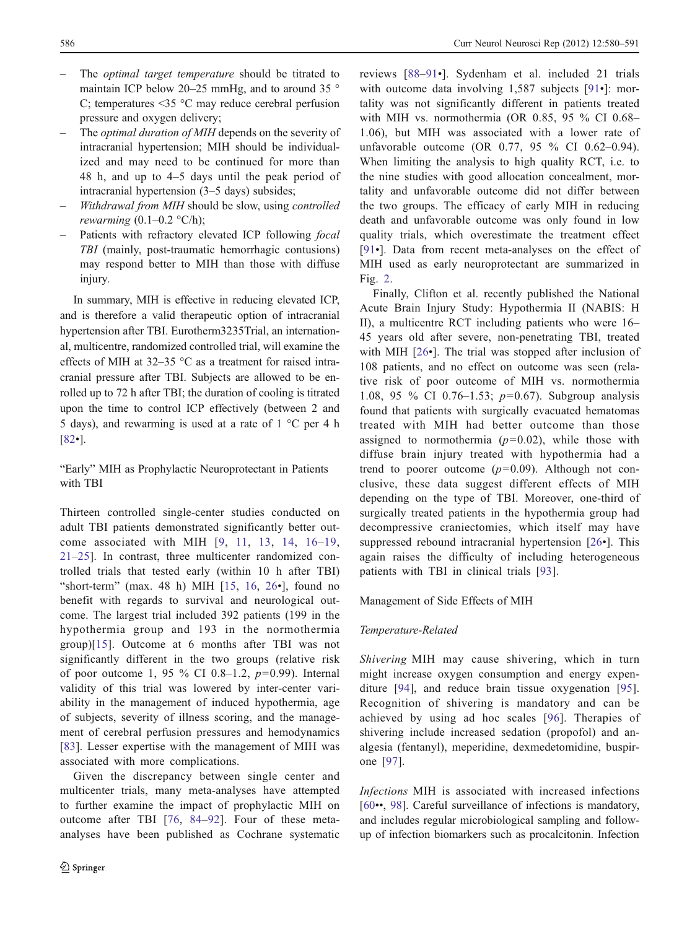- The *optimal target temperature* should be titrated to maintain ICP below 20–25 mmHg, and to around 35 ° C; temperatures <35 °C may reduce cerebral perfusion pressure and oxygen delivery;
- The *optimal duration of MIH* depends on the severity of intracranial hypertension; MIH should be individualized and may need to be continued for more than 48 h, and up to 4–5 days until the peak period of intracranial hypertension (3–5 days) subsides;
- Withdrawal from MIH should be slow, using controlled rewarming  $(0.1–0.2 \text{ °C/h})$ ;
- Patients with refractory elevated ICP following *focal* TBI (mainly, post-traumatic hemorrhagic contusions) may respond better to MIH than those with diffuse injury.

In summary, MIH is effective in reducing elevated ICP, and is therefore a valid therapeutic option of intracranial hypertension after TBI. Eurotherm3235Trial, an international, multicentre, randomized controlled trial, will examine the effects of MIH at 32–35 °C as a treatment for raised intracranial pressure after TBI. Subjects are allowed to be enrolled up to 72 h after TBI; the duration of cooling is titrated upon the time to control ICP effectively (between 2 and 5 days), and rewarming is used at a rate of  $1 \degree C$  per 4 h [\[82](#page-10-0)•].

"Early" MIH as Prophylactic Neuroprotectant in Patients with TBI

Thirteen controlled single-center studies conducted on adult TBI patients demonstrated significantly better outcome associated with MIH [[9,](#page-8-0) [11](#page-8-0), [13,](#page-8-0) [14,](#page-8-0) [16](#page-8-0)–[19,](#page-9-0) [21](#page-9-0)–[25](#page-9-0)]. In contrast, three multicenter randomized controlled trials that tested early (within 10 h after TBI) "short-term" (max. 48 h) MIH  $[15, 16, 26$  $[15, 16, 26$  $[15, 16, 26$  $[15, 16, 26$  $[15, 16, 26$  $[15, 16, 26$ <sup>-</sup>], found no benefit with regards to survival and neurological outcome. The largest trial included 392 patients (199 in the hypothermia group and 193 in the normothermia group)[[15\]](#page-8-0). Outcome at 6 months after TBI was not significantly different in the two groups (relative risk of poor outcome 1, 95 % CI 0.8–1.2,  $p=0.99$ ). Internal validity of this trial was lowered by inter-center variability in the management of induced hypothermia, age of subjects, severity of illness scoring, and the management of cerebral perfusion pressures and hemodynamics [\[83\]](#page-10-0). Lesser expertise with the management of MIH was associated with more complications.

Given the discrepancy between single center and multicenter trials, many meta-analyses have attempted to further examine the impact of prophylactic MIH on outcome after TBI [[76,](#page-10-0) [84](#page-10-0)–[92](#page-11-0)]. Four of these metaanalyses have been published as Cochrane systematic reviews [[88](#page-10-0)–[91](#page-10-0)•]. Sydenham et al. included 21 trials with outcome data involving 1,587 subjects [[91](#page-10-0)•]: mortality was not significantly different in patients treated with MIH vs. normothermia (OR 0.85, 95 % CI 0.68– 1.06), but MIH was associated with a lower rate of unfavorable outcome (OR 0.77, 95 % CI 0.62–0.94). When limiting the analysis to high quality RCT, i.e. to the nine studies with good allocation concealment, mortality and unfavorable outcome did not differ between the two groups. The efficacy of early MIH in reducing death and unfavorable outcome was only found in low quality trials, which overestimate the treatment effect [\[91](#page-10-0)•]. Data from recent meta-analyses on the effect of MIH used as early neuroprotectant are summarized in Fig. [2.](#page-7-0)

Finally, Clifton et al. recently published the National Acute Brain Injury Study: Hypothermia II (NABIS: H II), a multicentre RCT including patients who were 16– 45 years old after severe, non-penetrating TBI, treated with MIH [[26](#page-9-0)•]. The trial was stopped after inclusion of 108 patients, and no effect on outcome was seen (relative risk of poor outcome of MIH vs. normothermia 1.08, 95 % CI 0.76–1.53;  $p=0.67$ ). Subgroup analysis found that patients with surgically evacuated hematomas treated with MIH had better outcome than those assigned to normothermia  $(p=0.02)$ , while those with diffuse brain injury treated with hypothermia had a trend to poorer outcome  $(p=0.09)$ . Although not conclusive, these data suggest different effects of MIH depending on the type of TBI. Moreover, one-third of surgically treated patients in the hypothermia group had decompressive craniectomies, which itself may have suppressed rebound intracranial hypertension [\[26](#page-9-0)•]. This again raises the difficulty of including heterogeneous patients with TBI in clinical trials [[93\]](#page-11-0).

## Management of Side Effects of MIH

#### Temperature-Related

Shivering MIH may cause shivering, which in turn might increase oxygen consumption and energy expenditure [[94\]](#page-11-0), and reduce brain tissue oxygenation [\[95](#page-11-0)]. Recognition of shivering is mandatory and can be achieved by using ad hoc scales [[96](#page-11-0)]. Therapies of shivering include increased sedation (propofol) and analgesia (fentanyl), meperidine, dexmedetomidine, buspirone [[97\]](#page-11-0).

Infections MIH is associated with increased infections [\[60](#page-10-0)••, [98](#page-11-0)]. Careful surveillance of infections is mandatory, and includes regular microbiological sampling and followup of infection biomarkers such as procalcitonin. Infection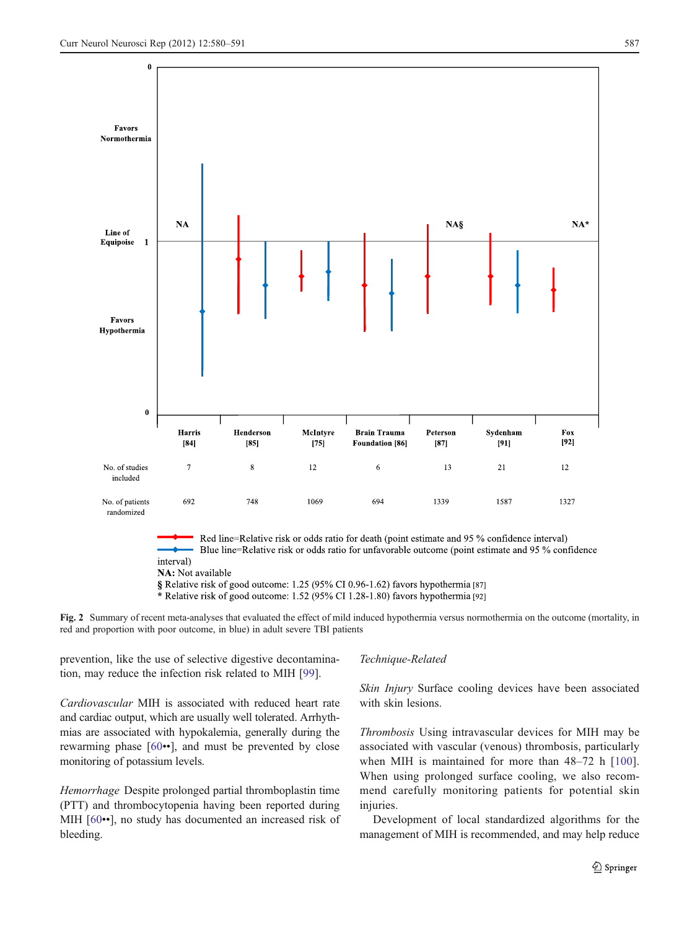<span id="page-7-0"></span>

NA: Not available

§ Relative risk of good outcome: 1.25 (95% CI 0.96-1.62) favors hypothermia [87]

\* Relative risk of good outcome: 1.52 (95% CI 1.28-1.80) favors hypothermia [92]

Fig. 2 Summary of recent meta-analyses that evaluated the effect of mild induced hypothermia versus normothermia on the outcome (mortality, in red and proportion with poor outcome, in blue) in adult severe TBI patients

prevention, like the use of selective digestive decontamination, may reduce the infection risk related to MIH [[99\]](#page-11-0).

Cardiovascular MIH is associated with reduced heart rate and cardiac output, which are usually well tolerated. Arrhythmias are associated with hypokalemia, generally during the rewarming phase [\[60](#page-10-0)••], and must be prevented by close monitoring of potassium levels.

Hemorrhage Despite prolonged partial thromboplastin time (PTT) and thrombocytopenia having been reported during MIH [[60](#page-10-0)••], no study has documented an increased risk of bleeding.

#### Technique-Related

Skin Injury Surface cooling devices have been associated with skin lesions.

Thrombosis Using intravascular devices for MIH may be associated with vascular (venous) thrombosis, particularly when MIH is maintained for more than 48–72 h [\[100](#page-11-0)]. When using prolonged surface cooling, we also recommend carefully monitoring patients for potential skin injuries.

Development of local standardized algorithms for the management of MIH is recommended, and may help reduce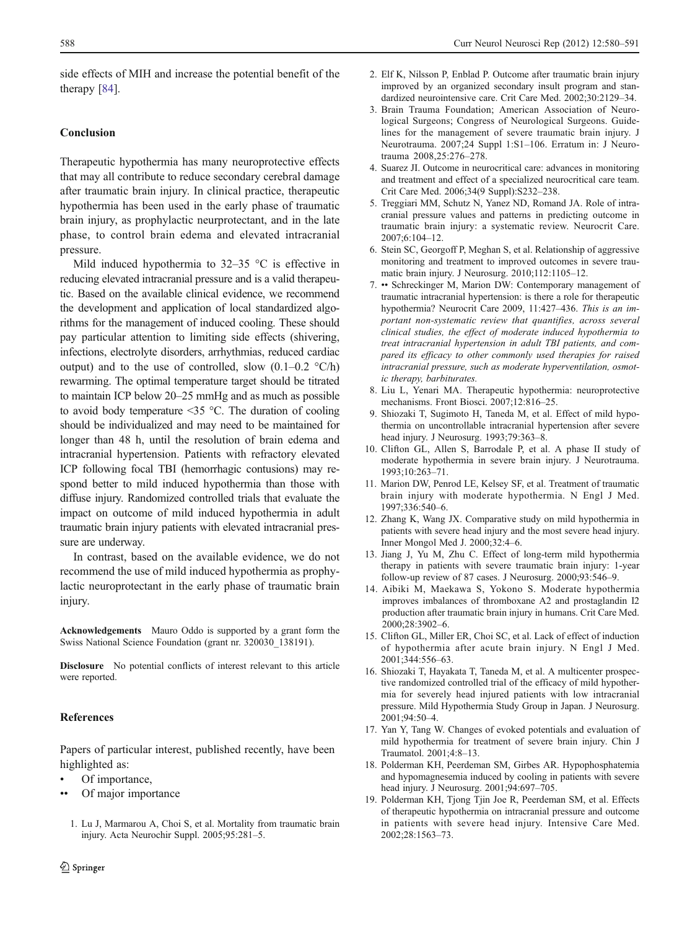<span id="page-8-0"></span>side effects of MIH and increase the potential benefit of the therapy [[84\]](#page-10-0).

## Conclusion

Therapeutic hypothermia has many neuroprotective effects that may all contribute to reduce secondary cerebral damage after traumatic brain injury. In clinical practice, therapeutic hypothermia has been used in the early phase of traumatic brain injury, as prophylactic neurprotectant, and in the late phase, to control brain edema and elevated intracranial pressure.

Mild induced hypothermia to  $32-35$  °C is effective in reducing elevated intracranial pressure and is a valid therapeutic. Based on the available clinical evidence, we recommend the development and application of local standardized algorithms for the management of induced cooling. These should pay particular attention to limiting side effects (shivering, infections, electrolyte disorders, arrhythmias, reduced cardiac output) and to the use of controlled, slow  $(0.1-0.2 \degree C/h)$ rewarming. The optimal temperature target should be titrated to maintain ICP below 20–25 mmHg and as much as possible to avoid body temperature  $\leq$ 35 °C. The duration of cooling should be individualized and may need to be maintained for longer than 48 h, until the resolution of brain edema and intracranial hypertension. Patients with refractory elevated ICP following focal TBI (hemorrhagic contusions) may respond better to mild induced hypothermia than those with diffuse injury. Randomized controlled trials that evaluate the impact on outcome of mild induced hypothermia in adult traumatic brain injury patients with elevated intracranial pressure are underway.

In contrast, based on the available evidence, we do not recommend the use of mild induced hypothermia as prophylactic neuroprotectant in the early phase of traumatic brain injury.

Acknowledgements Mauro Oddo is supported by a grant form the Swiss National Science Foundation (grant nr. 320030\_138191).

Disclosure No potential conflicts of interest relevant to this article were reported.

#### References

Papers of particular interest, published recently, have been highlighted as:

- Of importance,
- Of major importance
	- 1. Lu J, Marmarou A, Choi S, et al. Mortality from traumatic brain injury. Acta Neurochir Suppl. 2005;95:281–5.
- 2. Elf K, Nilsson P, Enblad P. Outcome after traumatic brain injury improved by an organized secondary insult program and standardized neurointensive care. Crit Care Med. 2002;30:2129–34.
- 3. Brain Trauma Foundation; American Association of Neurological Surgeons; Congress of Neurological Surgeons. Guidelines for the management of severe traumatic brain injury. J Neurotrauma. 2007;24 Suppl 1:S1–106. Erratum in: J Neurotrauma 2008,25:276–278.
- 4. Suarez JI. Outcome in neurocritical care: advances in monitoring and treatment and effect of a specialized neurocritical care team. Crit Care Med. 2006;34(9 Suppl):S232–238.
- 5. Treggiari MM, Schutz N, Yanez ND, Romand JA. Role of intracranial pressure values and patterns in predicting outcome in traumatic brain injury: a systematic review. Neurocrit Care. 2007;6:104–12.
- 6. Stein SC, Georgoff P, Meghan S, et al. Relationship of aggressive monitoring and treatment to improved outcomes in severe traumatic brain injury. J Neurosurg. 2010;112:1105–12.
- 7. •• Schreckinger M, Marion DW: Contemporary management of traumatic intracranial hypertension: is there a role for therapeutic hypothermia? Neurocrit Care 2009, 11:427–436. This is an important non-systematic review that quantifies, across several clinical studies, the effect of moderate induced hypothermia to treat intracranial hypertension in adult TBI patients, and compared its efficacy to other commonly used therapies for raised intracranial pressure, such as moderate hyperventilation, osmotic therapy, barbiturates.
- 8. Liu L, Yenari MA. Therapeutic hypothermia: neuroprotective mechanisms. Front Biosci. 2007;12:816–25.
- 9. Shiozaki T, Sugimoto H, Taneda M, et al. Effect of mild hypothermia on uncontrollable intracranial hypertension after severe head injury. J Neurosurg. 1993;79:363–8.
- 10. Clifton GL, Allen S, Barrodale P, et al. A phase II study of moderate hypothermia in severe brain injury. J Neurotrauma. 1993;10:263–71.
- 11. Marion DW, Penrod LE, Kelsey SF, et al. Treatment of traumatic brain injury with moderate hypothermia. N Engl J Med. 1997;336:540–6.
- 12. Zhang K, Wang JX. Comparative study on mild hypothermia in patients with severe head injury and the most severe head injury. Inner Mongol Med J. 2000;32:4–6.
- 13. Jiang J, Yu M, Zhu C. Effect of long-term mild hypothermia therapy in patients with severe traumatic brain injury: 1-year follow-up review of 87 cases. J Neurosurg. 2000;93:546–9.
- 14. Aibiki M, Maekawa S, Yokono S. Moderate hypothermia improves imbalances of thromboxane A2 and prostaglandin I2 production after traumatic brain injury in humans. Crit Care Med. 2000;28:3902–6.
- 15. Clifton GL, Miller ER, Choi SC, et al. Lack of effect of induction of hypothermia after acute brain injury. N Engl J Med. 2001;344:556–63.
- 16. Shiozaki T, Hayakata T, Taneda M, et al. A multicenter prospective randomized controlled trial of the efficacy of mild hypothermia for severely head injured patients with low intracranial pressure. Mild Hypothermia Study Group in Japan. J Neurosurg. 2001;94:50–4.
- 17. Yan Y, Tang W. Changes of evoked potentials and evaluation of mild hypothermia for treatment of severe brain injury. Chin J Traumatol. 2001;4:8–13.
- 18. Polderman KH, Peerdeman SM, Girbes AR. Hypophosphatemia and hypomagnesemia induced by cooling in patients with severe head injury. J Neurosurg. 2001;94:697–705.
- 19. Polderman KH, Tjong Tjin Joe R, Peerdeman SM, et al. Effects of therapeutic hypothermia on intracranial pressure and outcome in patients with severe head injury. Intensive Care Med. 2002;28:1563–73.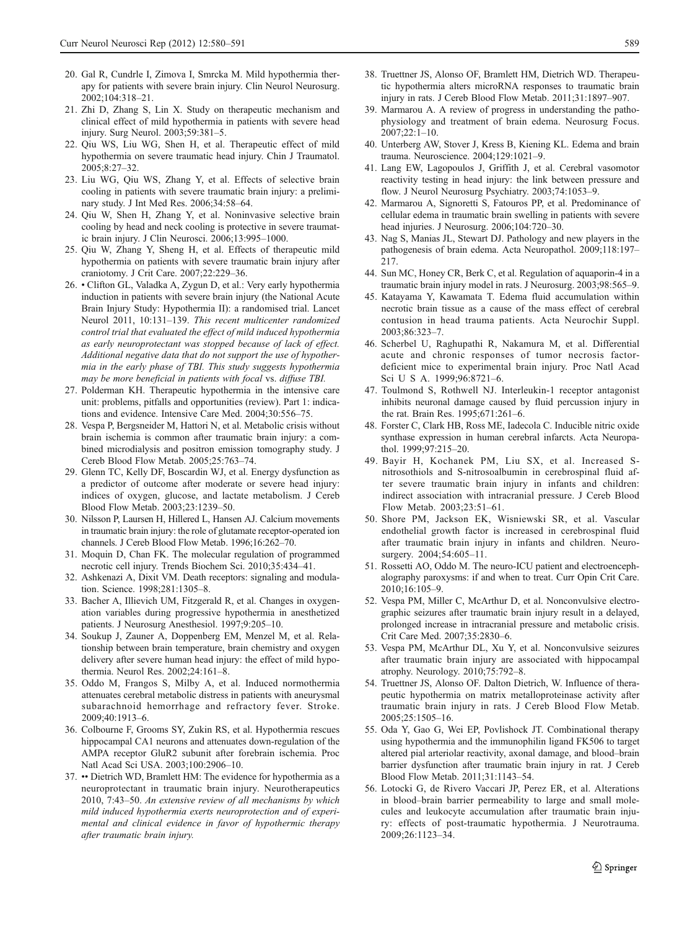- <span id="page-9-0"></span>20. Gal R, Cundrle I, Zimova I, Smrcka M. Mild hypothermia therapy for patients with severe brain injury. Clin Neurol Neurosurg. 2002;104:318–21.
- 21. Zhi D, Zhang S, Lin X. Study on therapeutic mechanism and clinical effect of mild hypothermia in patients with severe head injury. Surg Neurol. 2003;59:381–5.
- 22. Qiu WS, Liu WG, Shen H, et al. Therapeutic effect of mild hypothermia on severe traumatic head injury. Chin J Traumatol. 2005;8:27–32.
- 23. Liu WG, Qiu WS, Zhang Y, et al. Effects of selective brain cooling in patients with severe traumatic brain injury: a preliminary study. J Int Med Res. 2006;34:58–64.
- 24. Qiu W, Shen H, Zhang Y, et al. Noninvasive selective brain cooling by head and neck cooling is protective in severe traumatic brain injury. J Clin Neurosci. 2006;13:995–1000.
- 25. Qiu W, Zhang Y, Sheng H, et al. Effects of therapeutic mild hypothermia on patients with severe traumatic brain injury after craniotomy. J Crit Care. 2007;22:229–36.
- 26. Clifton GL, Valadka A, Zygun D, et al.: Very early hypothermia induction in patients with severe brain injury (the National Acute Brain Injury Study: Hypothermia II): a randomised trial. Lancet Neurol 2011, 10:131–139. This recent multicenter randomized control trial that evaluated the effect of mild induced hypothermia as early neuroprotectant was stopped because of lack of effect. Additional negative data that do not support the use of hypothermia in the early phase of TBI. This study suggests hypothermia may be more beneficial in patients with focal vs. diffuse TBI.
- 27. Polderman KH. Therapeutic hypothermia in the intensive care unit: problems, pitfalls and opportunities (review). Part 1: indications and evidence. Intensive Care Med. 2004;30:556–75.
- 28. Vespa P, Bergsneider M, Hattori N, et al. Metabolic crisis without brain ischemia is common after traumatic brain injury: a combined microdialysis and positron emission tomography study. J Cereb Blood Flow Metab. 2005;25:763–74.
- 29. Glenn TC, Kelly DF, Boscardin WJ, et al. Energy dysfunction as a predictor of outcome after moderate or severe head injury: indices of oxygen, glucose, and lactate metabolism. J Cereb Blood Flow Metab. 2003;23:1239–50.
- 30. Nilsson P, Laursen H, Hillered L, Hansen AJ. Calcium movements in traumatic brain injury: the role of glutamate receptor-operated ion channels. J Cereb Blood Flow Metab. 1996;16:262–70.
- 31. Moquin D, Chan FK. The molecular regulation of programmed necrotic cell injury. Trends Biochem Sci. 2010;35:434–41.
- 32. Ashkenazi A, Dixit VM. Death receptors: signaling and modulation. Science. 1998;281:1305–8.
- 33. Bacher A, Illievich UM, Fitzgerald R, et al. Changes in oxygenation variables during progressive hypothermia in anesthetized patients. J Neurosurg Anesthesiol. 1997;9:205–10.
- 34. Soukup J, Zauner A, Doppenberg EM, Menzel M, et al. Relationship between brain temperature, brain chemistry and oxygen delivery after severe human head injury: the effect of mild hypothermia. Neurol Res. 2002;24:161–8.
- 35. Oddo M, Frangos S, Milby A, et al. Induced normothermia attenuates cerebral metabolic distress in patients with aneurysmal subarachnoid hemorrhage and refractory fever. Stroke. 2009;40:1913–6.
- 36. Colbourne F, Grooms SY, Zukin RS, et al. Hypothermia rescues hippocampal CA1 neurons and attenuates down-regulation of the AMPA receptor GluR2 subunit after forebrain ischemia. Proc Natl Acad Sci USA. 2003;100:2906–10.
- 37. •• Dietrich WD, Bramlett HM: The evidence for hypothermia as a neuroprotectant in traumatic brain injury. Neurotherapeutics 2010, 7:43–50. An extensive review of all mechanisms by which mild induced hypothermia exerts neuroprotection and of experimental and clinical evidence in favor of hypothermic therapy after traumatic brain injury.
- 
- 38. Truettner JS, Alonso OF, Bramlett HM, Dietrich WD. Therapeutic hypothermia alters microRNA responses to traumatic brain injury in rats. J Cereb Blood Flow Metab. 2011;31:1897–907.
- 39. Marmarou A. A review of progress in understanding the pathophysiology and treatment of brain edema. Neurosurg Focus. 2007;22:1–10.
- 40. Unterberg AW, Stover J, Kress B, Kiening KL. Edema and brain trauma. Neuroscience. 2004;129:1021–9.
- 41. Lang EW, Lagopoulos J, Griffith J, et al. Cerebral vasomotor reactivity testing in head injury: the link between pressure and flow. J Neurol Neurosurg Psychiatry. 2003;74:1053-9.
- 42. Marmarou A, Signoretti S, Fatouros PP, et al. Predominance of cellular edema in traumatic brain swelling in patients with severe head injuries. J Neurosurg. 2006;104:720–30.
- 43. Nag S, Manias JL, Stewart DJ. Pathology and new players in the pathogenesis of brain edema. Acta Neuropathol. 2009;118:197– 217.
- 44. Sun MC, Honey CR, Berk C, et al. Regulation of aquaporin-4 in a traumatic brain injury model in rats. J Neurosurg. 2003;98:565–9.
- 45. Katayama Y, Kawamata T. Edema fluid accumulation within necrotic brain tissue as a cause of the mass effect of cerebral contusion in head trauma patients. Acta Neurochir Suppl. 2003;86:323–7.
- 46. Scherbel U, Raghupathi R, Nakamura M, et al. Differential acute and chronic responses of tumor necrosis factordeficient mice to experimental brain injury. Proc Natl Acad Sci U S A. 1999;96:8721–6.
- 47. Toulmond S, Rothwell NJ. Interleukin-1 receptor antagonist inhibits neuronal damage caused by fluid percussion injury in the rat. Brain Res. 1995;671:261–6.
- 48. Forster C, Clark HB, Ross ME, Iadecola C. Inducible nitric oxide synthase expression in human cerebral infarcts. Acta Neuropathol. 1999;97:215–20.
- 49. Bayir H, Kochanek PM, Liu SX, et al. Increased Snitrosothiols and S-nitrosoalbumin in cerebrospinal fluid after severe traumatic brain injury in infants and children: indirect association with intracranial pressure. J Cereb Blood Flow Metab. 2003;23:51–61.
- 50. Shore PM, Jackson EK, Wisniewski SR, et al. Vascular endothelial growth factor is increased in cerebrospinal fluid after traumatic brain injury in infants and children. Neurosurgery. 2004;54:605-11.
- 51. Rossetti AO, Oddo M. The neuro-ICU patient and electroencephalography paroxysms: if and when to treat. Curr Opin Crit Care. 2010;16:105–9.
- 52. Vespa PM, Miller C, McArthur D, et al. Nonconvulsive electrographic seizures after traumatic brain injury result in a delayed, prolonged increase in intracranial pressure and metabolic crisis. Crit Care Med. 2007;35:2830–6.
- 53. Vespa PM, McArthur DL, Xu Y, et al. Nonconvulsive seizures after traumatic brain injury are associated with hippocampal atrophy. Neurology. 2010;75:792–8.
- 54. Truettner JS, Alonso OF. Dalton Dietrich, W. Influence of therapeutic hypothermia on matrix metalloproteinase activity after traumatic brain injury in rats. J Cereb Blood Flow Metab. 2005;25:1505–16.
- 55. Oda Y, Gao G, Wei EP, Povlishock JT. Combinational therapy using hypothermia and the immunophilin ligand FK506 to target altered pial arteriolar reactivity, axonal damage, and blood–brain barrier dysfunction after traumatic brain injury in rat. J Cereb Blood Flow Metab. 2011;31:1143–54.
- 56. Lotocki G, de Rivero Vaccari JP, Perez ER, et al. Alterations in blood–brain barrier permeability to large and small molecules and leukocyte accumulation after traumatic brain injury: effects of post-traumatic hypothermia. J Neurotrauma. 2009;26:1123–34.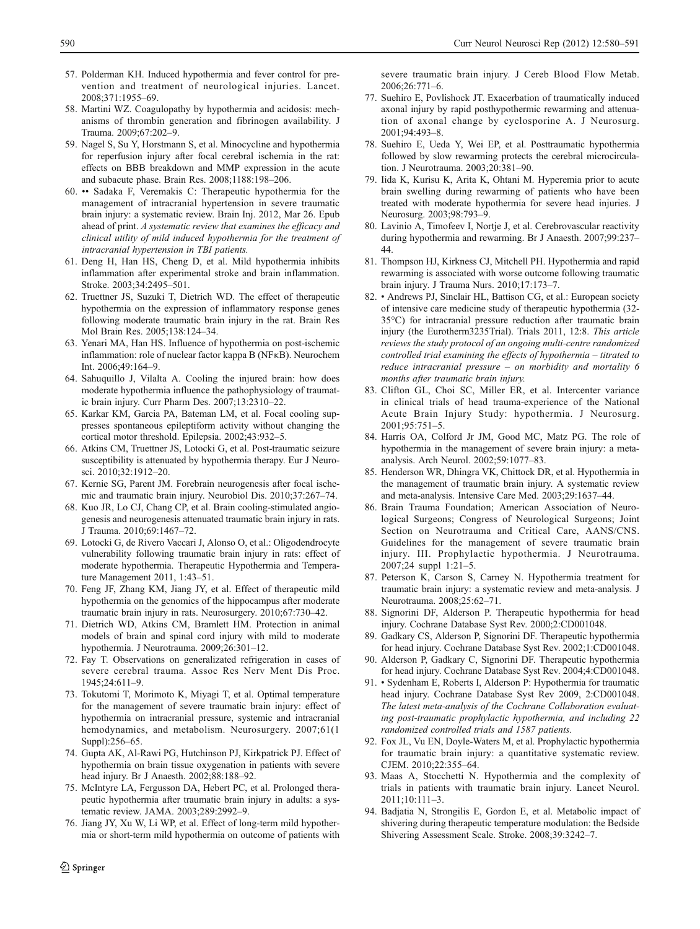- <span id="page-10-0"></span>57. Polderman KH. Induced hypothermia and fever control for prevention and treatment of neurological injuries. Lancet. 2008;371:1955–69.
- 58. Martini WZ. Coagulopathy by hypothermia and acidosis: mechanisms of thrombin generation and fibrinogen availability. J Trauma. 2009;67:202–9.
- 59. Nagel S, Su Y, Horstmann S, et al. Minocycline and hypothermia for reperfusion injury after focal cerebral ischemia in the rat: effects on BBB breakdown and MMP expression in the acute and subacute phase. Brain Res. 2008;1188:198–206.
- 60. •• Sadaka F, Veremakis C: Therapeutic hypothermia for the management of intracranial hypertension in severe traumatic brain injury: a systematic review. Brain Inj. 2012, Mar 26. Epub ahead of print. A systematic review that examines the efficacy and clinical utility of mild induced hypothermia for the treatment of intracranial hypertension in TBI patients.
- 61. Deng H, Han HS, Cheng D, et al. Mild hypothermia inhibits inflammation after experimental stroke and brain inflammation. Stroke. 2003;34:2495–501.
- 62. Truettner JS, Suzuki T, Dietrich WD. The effect of therapeutic hypothermia on the expression of inflammatory response genes following moderate traumatic brain injury in the rat. Brain Res Mol Brain Res. 2005;138:124–34.
- 63. Yenari MA, Han HS. Influence of hypothermia on post-ischemic inflammation: role of nuclear factor kappa B (NFκB). Neurochem Int. 2006;49:164–9.
- 64. Sahuquillo J, Vilalta A. Cooling the injured brain: how does moderate hypothermia influence the pathophysiology of traumatic brain injury. Curr Pharm Des. 2007;13:2310–22.
- 65. Karkar KM, Garcia PA, Bateman LM, et al. Focal cooling suppresses spontaneous epileptiform activity without changing the cortical motor threshold. Epilepsia. 2002;43:932–5.
- 66. Atkins CM, Truettner JS, Lotocki G, et al. Post-traumatic seizure susceptibility is attenuated by hypothermia therapy. Eur J Neurosci. 2010;32:1912–20.
- 67. Kernie SG, Parent JM. Forebrain neurogenesis after focal ischemic and traumatic brain injury. Neurobiol Dis. 2010;37:267–74.
- 68. Kuo JR, Lo CJ, Chang CP, et al. Brain cooling-stimulated angiogenesis and neurogenesis attenuated traumatic brain injury in rats. J Trauma. 2010;69:1467–72.
- 69. Lotocki G, de Rivero Vaccari J, Alonso O, et al.: Oligodendrocyte vulnerability following traumatic brain injury in rats: effect of moderate hypothermia. Therapeutic Hypothermia and Temperature Management 2011, 1:43–51.
- 70. Feng JF, Zhang KM, Jiang JY, et al. Effect of therapeutic mild hypothermia on the genomics of the hippocampus after moderate traumatic brain injury in rats. Neurosurgery. 2010;67:730–42.
- 71. Dietrich WD, Atkins CM, Bramlett HM. Protection in animal models of brain and spinal cord injury with mild to moderate hypothermia. J Neurotrauma. 2009;26:301–12.
- 72. Fay T. Observations on generalizated refrigeration in cases of severe cerebral trauma. Assoc Res Nerv Ment Dis Proc. 1945;24:611–9.
- 73. Tokutomi T, Morimoto K, Miyagi T, et al. Optimal temperature for the management of severe traumatic brain injury: effect of hypothermia on intracranial pressure, systemic and intracranial hemodynamics, and metabolism. Neurosurgery. 2007;61(1 Suppl):256–65.
- 74. Gupta AK, Al-Rawi PG, Hutchinson PJ, Kirkpatrick PJ. Effect of hypothermia on brain tissue oxygenation in patients with severe head injury. Br J Anaesth. 2002;88:188–92.
- 75. McIntyre LA, Fergusson DA, Hebert PC, et al. Prolonged therapeutic hypothermia after traumatic brain injury in adults: a systematic review. JAMA. 2003;289:2992–9.
- 76. Jiang JY, Xu W, Li WP, et al. Effect of long-term mild hypothermia or short-term mild hypothermia on outcome of patients with

severe traumatic brain injury. J Cereb Blood Flow Metab. 2006;26:771–6.

- 77. Suehiro E, Povlishock JT. Exacerbation of traumatically induced axonal injury by rapid posthypothermic rewarming and attenuation of axonal change by cyclosporine A. J Neurosurg. 2001;94:493–8.
- 78. Suehiro E, Ueda Y, Wei EP, et al. Posttraumatic hypothermia followed by slow rewarming protects the cerebral microcirculation. J Neurotrauma. 2003;20:381–90.
- 79. Iida K, Kurisu K, Arita K, Ohtani M. Hyperemia prior to acute brain swelling during rewarming of patients who have been treated with moderate hypothermia for severe head injuries. J Neurosurg. 2003;98:793–9.
- 80. Lavinio A, Timofeev I, Nortje J, et al. Cerebrovascular reactivity during hypothermia and rewarming. Br J Anaesth. 2007;99:237– 44.
- 81. Thompson HJ, Kirkness CJ, Mitchell PH. Hypothermia and rapid rewarming is associated with worse outcome following traumatic brain injury. J Trauma Nurs. 2010;17:173–7.
- 82. Andrews PJ, Sinclair HL, Battison CG, et al.: European society of intensive care medicine study of therapeutic hypothermia (32- 35°C) for intracranial pressure reduction after traumatic brain injury (the Eurotherm3235Trial). Trials 2011, 12:8. This article reviews the study protocol of an ongoing multi-centre randomized controlled trial examining the effects of hypothermia – titrated to reduce intracranial pressure – on morbidity and mortality 6 months after traumatic brain injury.
- 83. Clifton GL, Choi SC, Miller ER, et al. Intercenter variance in clinical trials of head trauma-experience of the National Acute Brain Injury Study: hypothermia. J Neurosurg. 2001;95:751–5.
- 84. Harris OA, Colford Jr JM, Good MC, Matz PG. The role of hypothermia in the management of severe brain injury: a metaanalysis. Arch Neurol. 2002;59:1077–83.
- 85. Henderson WR, Dhingra VK, Chittock DR, et al. Hypothermia in the management of traumatic brain injury. A systematic review and meta-analysis. Intensive Care Med. 2003;29:1637–44.
- 86. Brain Trauma Foundation; American Association of Neurological Surgeons; Congress of Neurological Surgeons; Joint Section on Neurotrauma and Critical Care, AANS/CNS. Guidelines for the management of severe traumatic brain injury. III. Prophylactic hypothermia. J Neurotrauma. 2007;24 suppl 1:21–5.
- 87. Peterson K, Carson S, Carney N. Hypothermia treatment for traumatic brain injury: a systematic review and meta-analysis. J Neurotrauma. 2008;25:62–71.
- 88. Signorini DF, Alderson P. Therapeutic hypothermia for head injury. Cochrane Database Syst Rev. 2000;2:CD001048.
- Gadkary CS, Alderson P, Signorini DF. Therapeutic hypothermia for head injury. Cochrane Database Syst Rev. 2002;1:CD001048.
- 90. Alderson P, Gadkary C, Signorini DF. Therapeutic hypothermia for head injury. Cochrane Database Syst Rev. 2004;4:CD001048.
- 91. Sydenham E, Roberts I, Alderson P: Hypothermia for traumatic head injury. Cochrane Database Syst Rev 2009, 2:CD001048. The latest meta-analysis of the Cochrane Collaboration evaluating post-traumatic prophylactic hypothermia, and including 22 randomized controlled trials and 1587 patients.
- 92. Fox JL, Vu EN, Doyle-Waters M, et al. Prophylactic hypothermia for traumatic brain injury: a quantitative systematic review. CJEM. 2010;22:355–64.
- 93. Maas A, Stocchetti N. Hypothermia and the complexity of trials in patients with traumatic brain injury. Lancet Neurol. 2011;10:111–3.
- 94. Badjatia N, Strongilis E, Gordon E, et al. Metabolic impact of shivering during therapeutic temperature modulation: the Bedside Shivering Assessment Scale. Stroke. 2008;39:3242–7.